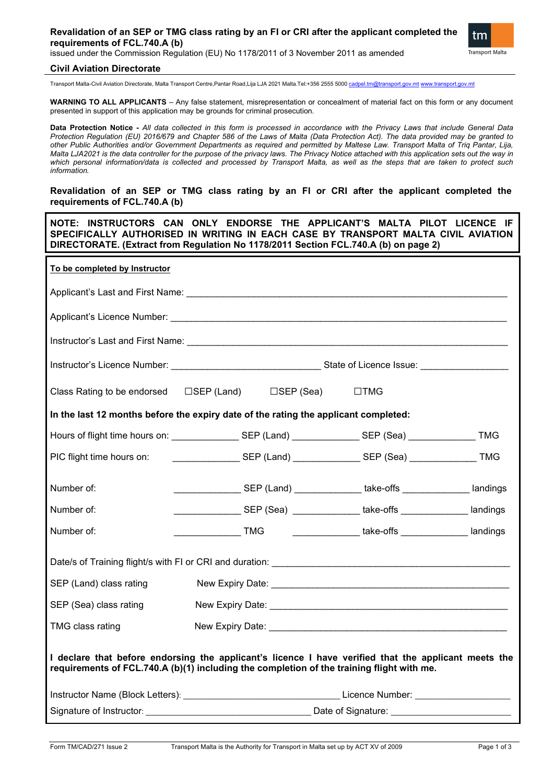## **Revalidation of an SEP or TMG class rating by an FI or CRI after the applicant completed the requirements of FCL.740.A (b)**



issued under the Commission Regulation (EU) No 1178/2011 of 3 November 2011 as amended

## **Civil Aviation Directorate**

Transport Malta-Civil Aviation Directorate, Malta Transport Centre,Pantar Road,Lija LJA 2021 Malta.Tel:+356 2555 5000 [cadpel.tm@transport.gov.mt](mailto:cadpel.tm@transport.gov.mt) [www.transport.gov.mt](http://www.transport.gov.mt/)

**WARNING TO ALL APPLICANTS** – Any false statement, misrepresentation or concealment of material fact on this form or any document presented in support of this application may be grounds for criminal prosecution.

**Data Protection Notice -** *All data collected in this form is processed in accordance with the Privacy Laws that include General Data Protection Regulation (EU) 2016/679 and Chapter 586 of the Laws of Malta (Data Protection Act). The data provided may be granted to other Public Authorities and/or Government Departments as required and permitted by Maltese Law. Transport Malta of Triq Pantar, Lija, Malta LJA2021 is the data controller for the purpose of the privacy laws. The Privacy Notice attached with this application sets out the way in which personal information/data is collected and processed by Transport Malta, as well as the steps that are taken to protect such information.*

**Revalidation of an SEP or TMG class rating by an FI or CRI after the applicant completed the requirements of FCL.740.A (b)**

**NOTE: INSTRUCTORS CAN ONLY ENDORSE THE APPLICANT'S MALTA PILOT LICENCE IF SPECIFICALLY AUTHORISED IN WRITING IN EACH CASE BY TRANSPORT MALTA CIVIL AVIATION DIRECTORATE. (Extract from Regulation No 1178/2011 Section FCL.740.A (b) on page 2)** 

| To be completed by Instructor                                                                                                                                                                     |                                                                                                                |                                                                             |  |
|---------------------------------------------------------------------------------------------------------------------------------------------------------------------------------------------------|----------------------------------------------------------------------------------------------------------------|-----------------------------------------------------------------------------|--|
|                                                                                                                                                                                                   |                                                                                                                |                                                                             |  |
|                                                                                                                                                                                                   |                                                                                                                |                                                                             |  |
|                                                                                                                                                                                                   |                                                                                                                |                                                                             |  |
|                                                                                                                                                                                                   |                                                                                                                |                                                                             |  |
|                                                                                                                                                                                                   | Class Rating to be endorsed □SEP (Land) □SEP (Sea)                                                             | $\square$ TMG                                                               |  |
| In the last 12 months before the expiry date of the rating the applicant completed:                                                                                                               |                                                                                                                |                                                                             |  |
|                                                                                                                                                                                                   | Hours of flight time hours on: ______________________SEP (Land) ________________SEP (Sea) _________________TMG |                                                                             |  |
| PIC flight time hours on:                                                                                                                                                                         | _______________________SEP (Land) _________________SEP (Sea) ___________________TMG                            |                                                                             |  |
| Number of:                                                                                                                                                                                        | _____________________SEP (Land) ________________take-offs _________________landings                            |                                                                             |  |
| Number of:                                                                                                                                                                                        |                                                                                                                | _________________SEP (Sea) ______________ take-offs ______________ landings |  |
| Number of:                                                                                                                                                                                        | ___________________TMG    ________________take-offs ________________ landings                                  |                                                                             |  |
|                                                                                                                                                                                                   |                                                                                                                |                                                                             |  |
| SEP (Land) class rating                                                                                                                                                                           |                                                                                                                |                                                                             |  |
| SEP (Sea) class rating                                                                                                                                                                            |                                                                                                                |                                                                             |  |
| TMG class rating                                                                                                                                                                                  |                                                                                                                |                                                                             |  |
| I declare that before endorsing the applicant's licence I have verified that the applicant meets the<br>requirements of FCL.740.A (b)(1) including the completion of the training flight with me. |                                                                                                                |                                                                             |  |
|                                                                                                                                                                                                   |                                                                                                                |                                                                             |  |
|                                                                                                                                                                                                   | Signature of Instructor: Signature: Date of Signature:                                                         |                                                                             |  |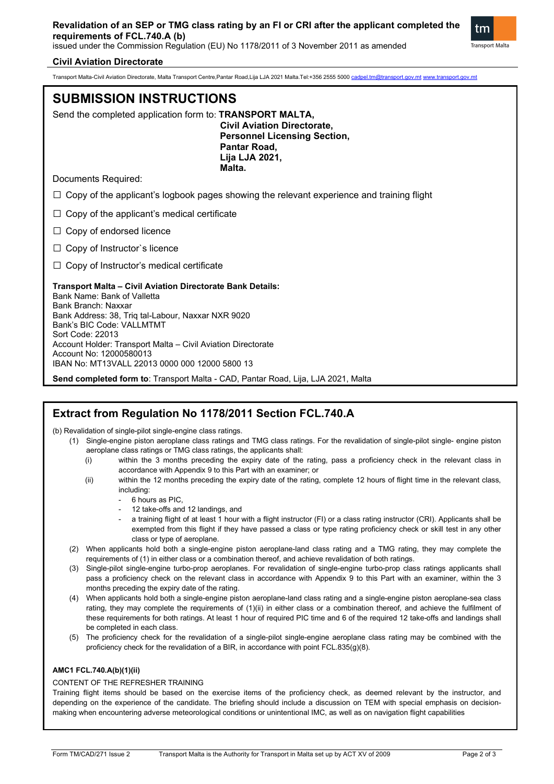

## **Civil Aviation Directorate**

Transport Malta-Civil Aviation Directorate, Malta Transport Centre,Pantar Road,Lija LJA 2021 Malta.Tel:+356 2555 5000 [cadpel.tm@transport.gov.mt](mailto:cadpel.tm@transport.gov.mt) [www.transport.gov.mt](http://www.transport.gov.mt/)

# **SUBMISSION INSTRUCTIONS**

Send the completed application form to: **TRANSPORT MALTA,**

**Civil Aviation Directorate, Personnel Licensing Section, Pantar Road, Lija LJA 2021, Malta.**

Documents Required:

 $\square$  Copy of the applicant's logbook pages showing the relevant experience and training flight

 $\Box$  Copy of the applicant's medical certificate

 $\Box$  Copy of endorsed licence

 $\Box$  Copy of Instructor's licence

 $\Box$  Copy of Instructor's medical certificate

## **Transport Malta – Civil Aviation Directorate Bank Details:**

Bank Name: Bank of Valletta Bank Branch: Naxxar Bank Address: 38, Triq tal-Labour, Naxxar NXR 9020 Bank's BIC Code: VALLMTMT Sort Code: 22013 Account Holder: Transport Malta – Civil Aviation Directorate Account No: 12000580013 IBAN No: MT13VALL 22013 0000 000 12000 5800 13

**Send completed form to**: Transport Malta - CAD, Pantar Road, Lija, LJA 2021, Malta

## **Extract from Regulation No 1178/2011 Section FCL.740.A**

(b) Revalidation of single-pilot single-engine class ratings.

- (1) Single-engine piston aeroplane class ratings and TMG class ratings. For the revalidation of single-pilot single- engine piston aeroplane class ratings or TMG class ratings, the applicants shall:
	- (i) within the 3 months preceding the expiry date of the rating, pass a proficiency check in the relevant class in accordance with Appendix 9 to this Part with an examiner; or
	- (ii) within the 12 months preceding the expiry date of the rating, complete 12 hours of flight time in the relevant class, including:
		- 6 hours as PIC.
		- 12 take-offs and 12 landings, and
		- a training flight of at least 1 hour with a flight instructor (FI) or a class rating instructor (CRI). Applicants shall be exempted from this flight if they have passed a class or type rating proficiency check or skill test in any other class or type of aeroplane.
- (2) When applicants hold both a single-engine piston aeroplane-land class rating and a TMG rating, they may complete the requirements of (1) in either class or a combination thereof, and achieve revalidation of both ratings.
- (3) Single-pilot single-engine turbo-prop aeroplanes. For revalidation of single-engine turbo-prop class ratings applicants shall pass a proficiency check on the relevant class in accordance with Appendix 9 to this Part with an examiner, within the 3 months preceding the expiry date of the rating.
- (4) When applicants hold both a single-engine piston aeroplane-land class rating and a single-engine piston aeroplane-sea class rating, they may complete the requirements of (1)(ii) in either class or a combination thereof, and achieve the fulfilment of these requirements for both ratings. At least 1 hour of required PIC time and 6 of the required 12 take-offs and landings shall be completed in each class.
- (5) The proficiency check for the revalidation of a single-pilot single-engine aeroplane class rating may be combined with the proficiency check for the revalidation of a BIR, in accordance with point FCL.835(g)(8).

## **AMC1 FCL.740.A(b)(1)(ii)**

### CONTENT OF THE REFRESHER TRAINING

Training flight items should be based on the exercise items of the proficiency check, as deemed relevant by the instructor, and depending on the experience of the candidate. The briefing should include a discussion on TEM with special emphasis on decisionmaking when encountering adverse meteorological conditions or unintentional IMC, as well as on navigation flight capabilities